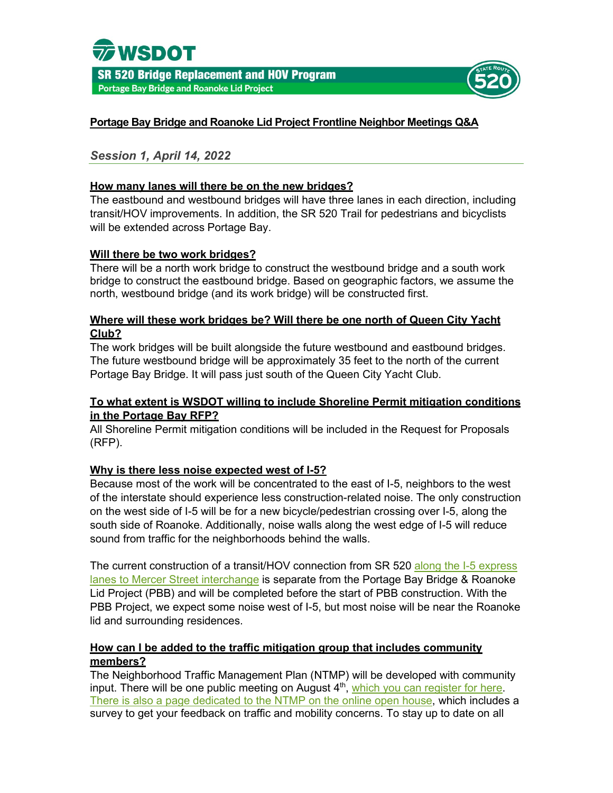



## **Portage Bay Bridge and Roanoke Lid Project Frontline Neighbor Meetings Q&A**

*Session 1, April 14, 2022* 

### **How many lanes will there be on the new bridges?**

The eastbound and westbound bridges will have three lanes in each direction, including transit/HOV improvements. In addition, the SR 520 Trail for pedestrians and bicyclists will be extended across Portage Bay.

### **Will there be two work bridges?**

There will be a north work bridge to construct the westbound bridge and a south work bridge to construct the eastbound bridge. Based on geographic factors, we assume the north, westbound bridge (and its work bridge) will be constructed first.

### **Where will these work bridges be? Will there be one north of Queen City Yacht Club?**

The work bridges will be built alongside the future westbound and eastbound bridges. The future westbound bridge will be approximately 35 feet to the north of the current Portage Bay Bridge. It will pass just south of the Queen City Yacht Club.

### **To what extent is WSDOT willing to include Shoreline Permit mitigation conditions in the Portage Bay RFP?**

All Shoreline Permit mitigation conditions will be included in the Request for Proposals (RFP).

### **Why is there less noise expected west of I-5?**

Because most of the work will be concentrated to the east of I-5, neighbors to the west of the interstate should experience less construction-related noise. The only construction on the west side of I-5 will be for a new bicycle/pedestrian crossing over I-5, along the south side of Roanoke. Additionally, noise walls along the west edge of I-5 will reduce sound from traffic for the neighborhoods behind the walls.

The current construction of a transit/HOV connection from SR 520 along the I-5 express lanes [to Mercer Street interchange](https://wsdot.wa.gov/construction-planning/search-projects/sr-520-i-5-express-lanes-connection-project) is separate from the Portage Bay Bridge & Roanoke Lid Project (PBB) and will be completed before the start of PBB construction. With the PBB Project, we expect some noise west of I-5, but most noise will be near the Roanoke lid and surrounding residences.

### **How can I be added to the traffic mitigation group that includes community members?**

The Neighborhood Traffic Management Plan (NTMP) will be developed with community input. There will be one public meeting on August 4<sup>th</sup>, [which you can register for here.](https://us02web.zoom.us/webinar/register/WN_XKqk8O6QQGCqxzGfZ3lwEA) There is also a [page dedicated to the NTMP on the online open house,](https://engage.wsdot.wa.gov/sr-520-portage-bay-bridge-roanoke-lid/traffic/) which includes a survey to get your feedback on traffic and mobility concerns. To stay up to date on all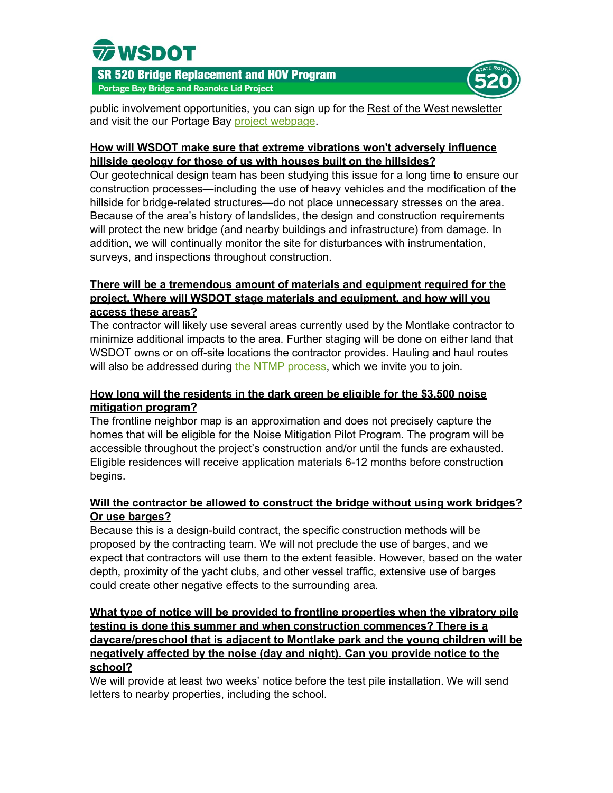



public involvement opportunities, you can sign up for the [Rest of the West newsletter](https://public.govdelivery.com/accounts/WADOT/subscriber/new) and visit the our Portage Bay [project webpage.](https://sr520construction.com/futureconstructionprojects)

## **How will WSDOT make sure that extreme vibrations won't adversely influence hillside geology for those of us with houses built on the hillsides?**

Our geotechnical design team has been studying this issue for a long time to ensure our construction processes—including the use of heavy vehicles and the modification of the hillside for bridge-related structures—do not place unnecessary stresses on the area. Because of the area's history of landslides, the design and construction requirements will protect the new bridge (and nearby buildings and infrastructure) from damage. In addition, we will continually monitor the site for disturbances with instrumentation, surveys, and inspections throughout construction.

## **There will be a tremendous amount of materials and equipment required for the project. Where will WSDOT stage materials and equipment, and how will you access these areas?**

The contractor will likely use several areas currently used by the Montlake contractor to minimize additional impacts to the area. Further staging will be done on either land that WSDOT owns or on off-site locations the contractor provides. Hauling and haul routes will also be addressed during [the NTMP process,](https://engage.wsdot.wa.gov/sr-520-portage-bay-bridge-roanoke-lid/traffic/) which we invite you to join.

# **How long will the residents in the dark green be eligible for the \$3,500 noise mitigation program?**

The frontline neighbor map is an approximation and does not precisely capture the homes that will be eligible for the Noise Mitigation Pilot Program. The program will be accessible throughout the project's construction and/or until the funds are exhausted. Eligible residences will receive application materials 6-12 months before construction begins.

## **Will the contractor be allowed to construct the bridge without using work bridges? Or use barges?**

Because this is a design-build contract, the specific construction methods will be proposed by the contracting team. We will not preclude the use of barges, and we expect that contractors will use them to the extent feasible. However, based on the water depth, proximity of the yacht clubs, and other vessel traffic, extensive use of barges could create other negative effects to the surrounding area.

## **What type of notice will be provided to frontline properties when the vibratory pile testing is done this summer and when construction commences? There is a daycare/preschool that is adjacent to Montlake park and the young children will be negatively affected by the noise (day and night). Can you provide notice to the school?**

We will provide at least two weeks' notice before the test pile installation. We will send letters to nearby properties, including the school.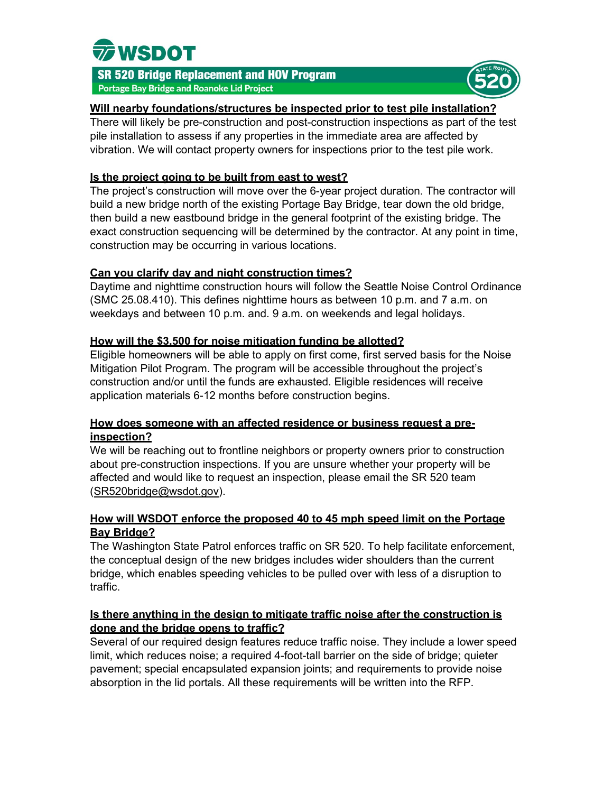



### **Will nearby foundations/structures be inspected prior to test pile installation?**

There will likely be pre-construction and post-construction inspections as part of the test pile installation to assess if any properties in the immediate area are affected by vibration. We will contact property owners for inspections prior to the test pile work.

## **Is the project going to be built from east to west?**

The project's construction will move over the 6-year project duration. The contractor will build a new bridge north of the existing Portage Bay Bridge, tear down the old bridge, then build a new eastbound bridge in the general footprint of the existing bridge. The exact construction sequencing will be determined by the contractor. At any point in time, construction may be occurring in various locations.

## **Can you clarify day and night construction times?**

Daytime and nighttime construction hours will follow the Seattle Noise Control Ordinance (SMC 25.08.410). This defines nighttime hours as between 10 p.m. and 7 a.m. on weekdays and between 10 p.m. and. 9 a.m. on weekends and legal holidays.

## **How will the \$3,500 for noise mitigation funding be allotted?**

Eligible homeowners will be able to apply on first come, first served basis for the Noise Mitigation Pilot Program. The program will be accessible throughout the project's construction and/or until the funds are exhausted. Eligible residences will receive application materials 6-12 months before construction begins.

## **How does someone with an affected residence or business request a preinspection?**

We will be reaching out to frontline neighbors or property owners prior to construction about pre-construction inspections. If you are unsure whether your property will be affected and would like to request an inspection, please email the SR 520 team [\(SR520bridge@wsdot.gov\)](mailto:SR520bridge@wsdot.gov).

## **How will WSDOT enforce the proposed 40 to 45 mph speed limit on the Portage Bay Bridge?**

The Washington State Patrol enforces traffic on SR 520. To help facilitate enforcement, the conceptual design of the new bridges includes wider shoulders than the current bridge, which enables speeding vehicles to be pulled over with less of a disruption to traffic.

## **Is there anything in the design to mitigate traffic noise after the construction is done and the bridge opens to traffic?**

Several of our required design features reduce traffic noise. They include a lower speed limit, which reduces noise; a required 4-foot-tall barrier on the side of bridge; quieter pavement; special encapsulated expansion joints; and requirements to provide noise absorption in the lid portals. All these requirements will be written into the RFP.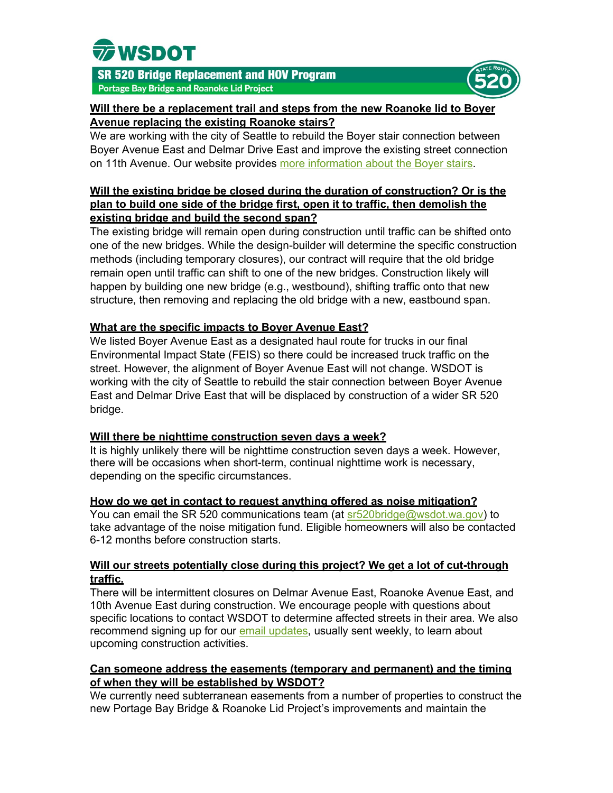



## **Will there be a replacement trail and steps from the new Roanoke lid to Boyer Avenue replacing the existing Roanoke stairs?**

We are working with the city of Seattle to rebuild the Boyer stair connection between Boyer Avenue East and Delmar Drive East and improve the existing street connection on 11th Avenue. Our website provides [more information about](https://sr520construction.com/FutureConstructionProjects) the Boyer stairs.

## **Will the existing bridge be closed during the duration of construction? Or is the plan to build one side of the bridge first, open it to traffic, then demolish the existing bridge and build the second span?**

The existing bridge will remain open during construction until traffic can be shifted onto one of the new bridges. While the design-builder will determine the specific construction methods (including temporary closures), our contract will require that the old bridge remain open until traffic can shift to one of the new bridges. Construction likely will happen by building one new bridge (e.g., westbound), shifting traffic onto that new structure, then removing and replacing the old bridge with a new, eastbound span.

## **What are the specific impacts to Boyer Avenue East?**

We listed Boyer Avenue East as a designated haul route for trucks in our final Environmental Impact State (FEIS) so there could be increased truck traffic on the street. However, the alignment of Boyer Avenue East will not change. WSDOT is working with the city of Seattle to rebuild the stair connection between Boyer Avenue East and Delmar Drive East that will be displaced by construction of a wider SR 520 bridge.

### **Will there be nighttime construction seven days a week?**

It is highly unlikely there will be nighttime construction seven days a week. However, there will be occasions when short-term, continual nighttime work is necessary, depending on the specific circumstances.

### **How do we get in contact to request anything offered as noise mitigation?**

You can email the SR 520 communications team (at [sr520bridge@wsdot.wa.gov\)](mailto:sr520bridge@wsdot.wa.gov) to take advantage of the noise mitigation fund. Eligible homeowners will also be contacted 6-12 months before construction starts.

## **Will our streets potentially close during this project? We get a lot of cut-through traffic.**

There will be intermittent closures on Delmar Avenue East, Roanoke Avenue East, and 10th Avenue East during construction. We encourage people with questions about specific locations to contact WSDOT to determine affected streets in their area. We also recommend signing up for our [email updates,](https://service.govdelivery.com/accounts/WADOT/subscriber/new) usually sent weekly, to learn about upcoming construction activities.

## **Can someone address the easements (temporary and permanent) and the timing of when they will be established by WSDOT?**

We currently need subterranean easements from a number of properties to construct the new Portage Bay Bridge & Roanoke Lid Project's improvements and maintain the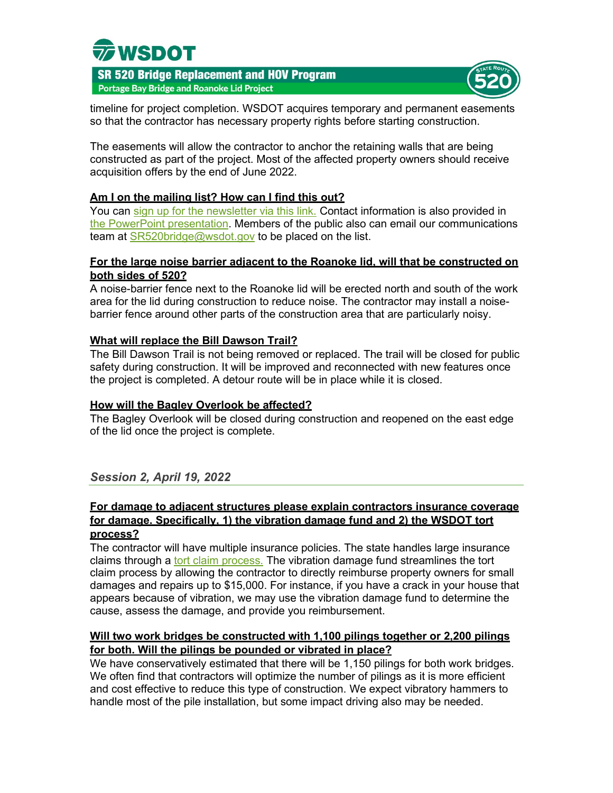



timeline for project completion. WSDOT acquires temporary and permanent easements so that the contractor has necessary property rights before starting construction.

The easements will allow the contractor to anchor the retaining walls that are being constructed as part of the project. Most of the affected property owners should receive acquisition offers by the end of June 2022.

### **Am I on the mailing list? How can I find this out?**

You can [sign up for the newsletter via this link.](https://public.govdelivery.com/accounts/WADOT/subscriber/new) Contact information is also provided in [the PowerPoint presentation.](https://sr520construction.blob.core.windows.net/media/2022_04_19_Frontline_Neighbor_Powerpoint_2022_04_18_AccessibleFinal.pdf) Members of the public also can email our communications team at [SR520bridge@wsdot.gov](mailto:SR520bridge@wsdot.gov) to be placed on the list.

## **For the large noise barrier adjacent to the Roanoke lid, will that be constructed on both sides of 520?**

A noise-barrier fence next to the Roanoke lid will be erected north and south of the work area for the lid during construction to reduce noise. The contractor may install a noisebarrier fence around other parts of the construction area that are particularly noisy.

## **What will replace the Bill Dawson Trail?**

The Bill Dawson Trail is not being removed or replaced. The trail will be closed for public safety during construction. It will be improved and reconnected with new features once the project is completed. A detour route will be in place while it is closed.

### **How will the Bagley Overlook be affected?**

The Bagley Overlook will be closed during construction and reopened on the east edge of the lid once the project is complete.

## *Session 2, April 19, 2022*

#### **For damage to adjacent structures please explain contractors insurance coverage for damage. Specifically, 1) the vibration damage fund and 2) the WSDOT tort process?**

The contractor will have multiple insurance policies. The state handles large insurance claims through a [tort claim process.](https://des.wa.gov/services/risk-management/file-claim) The vibration damage fund streamlines the tort claim process by allowing the contractor to directly reimburse property owners for small damages and repairs up to \$15,000. For instance, if you have a crack in your house that appears because of vibration, we may use the vibration damage fund to determine the cause, assess the damage, and provide you reimbursement.

## **Will two work bridges be constructed with 1,100 pilings together or 2,200 pilings for both. Will the pilings be pounded or vibrated in place?**

We have conservatively estimated that there will be 1,150 pilings for both work bridges. We often find that contractors will optimize the number of pilings as it is more efficient and cost effective to reduce this type of construction. We expect vibratory hammers to handle most of the pile installation, but some impact driving also may be needed.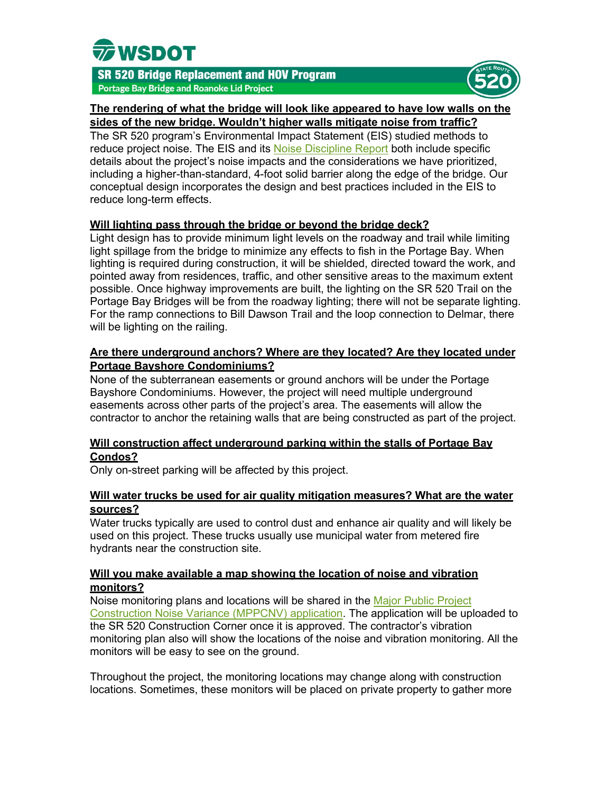



#### **The rendering of what the bridge will look like appeared to have low walls on the sides of the new bridge. Wouldn't higher walls mitigate noise from traffic?**

The SR 520 program's Environmental Impact Statement (EIS) studied methods to reduce project noise. The EIS and its [Noise Discipline Report](https://wsdot.wa.gov/sites/default/files/2021-11/SR520ReportAttachment7NoiseDisciplineReportAddendum.pdf) both include specific details about the project's noise impacts and the considerations we have prioritized, including a higher-than-standard, 4-foot solid barrier along the edge of the bridge. Our conceptual design incorporates the design and best practices included in the EIS to reduce long-term effects.

### **Will lighting pass through the bridge or beyond the bridge deck?**

Light design has to provide minimum light levels on the roadway and trail while limiting light spillage from the bridge to minimize any effects to fish in the Portage Bay. When lighting is required during construction, it will be shielded, directed toward the work, and pointed away from residences, traffic, and other sensitive areas to the maximum extent possible. Once highway improvements are built, the lighting on the SR 520 Trail on the Portage Bay Bridges will be from the roadway lighting; there will not be separate lighting. For the ramp connections to Bill Dawson Trail and the loop connection to Delmar, there will be lighting on the railing.

## **Are there underground anchors? Where are they located? Are they located under Portage Bayshore Condominiums?**

None of the subterranean easements or ground anchors will be under the Portage Bayshore Condominiums. However, the project will need multiple underground easements across other parts of the project's area. The easements will allow the contractor to anchor the retaining walls that are being constructed as part of the project.

## **Will construction affect underground parking within the stalls of Portage Bay Condos?**

Only on-street parking will be affected by this project.

## **Will water trucks be used for air quality mitigation measures? What are the water sources?**

Water trucks typically are used to control dust and enhance air quality and will likely be used on this project. These trucks usually use municipal water from metered fire hydrants near the construction site.

### **Will you make available a map showing the location of noise and vibration monitors?**

Noise monitoring plans and locations will be shared in the [Major Public Project](https://cosaccela.seattle.gov/Portal/Cap/CapDetail.aspx?Module=DPDPermits&TabName=DPDPermits&capID1=22SCI&capID2=00000&capID3=60618&agencyCode=SEATTLE&IsToShowInspection=)  [Construction Noise Variance \(MPPCNV\) application.](https://cosaccela.seattle.gov/Portal/Cap/CapDetail.aspx?Module=DPDPermits&TabName=DPDPermits&capID1=22SCI&capID2=00000&capID3=60618&agencyCode=SEATTLE&IsToShowInspection=) The application will be uploaded to the SR 520 Construction Corner once it is approved. The contractor's vibration monitoring plan also will show the locations of the noise and vibration monitoring. All the monitors will be easy to see on the ground.

Throughout the project, the monitoring locations may change along with construction locations. Sometimes, these monitors will be placed on private property to gather more